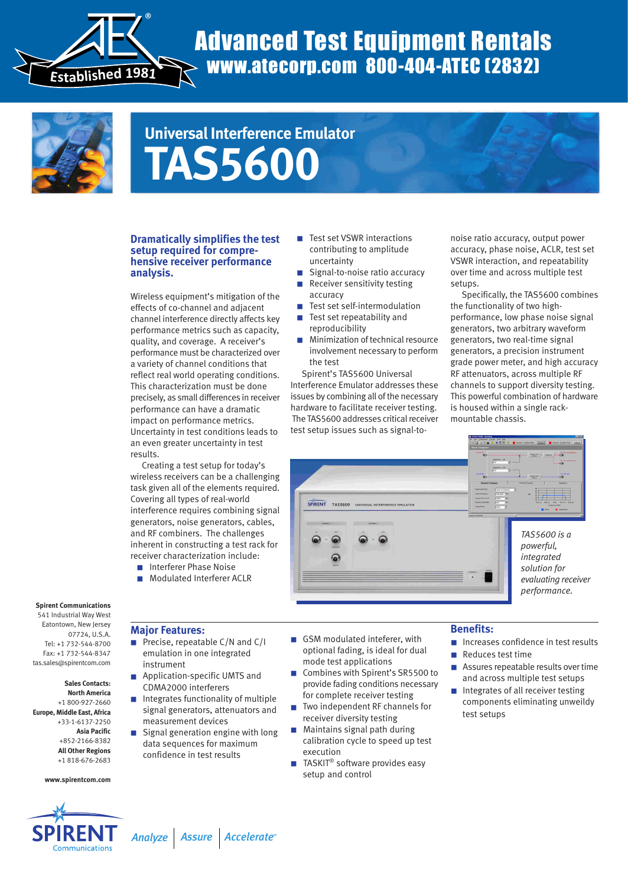

# Advanced Test Equipment Rentals www.atecorp.com 800-404-ATEC (2832)



# **Universal Interference Emulator TAS5600**

# **Dramatically simplifies the test setup required for comprehensive receiver performance analysis.**

Wireless equipment's mitigation of the effects of co-channel and adjacent channel interference directly affects key performance metrics such as capacity, quality, and coverage. A receiver's performance must be characterized over a variety of channel conditions that reflect real world operating conditions. This characterization must be done precisely, as small differences in receiver performance can have a dramatic impact on performance metrics. Uncertainty in test conditions leads to an even greater uncertainty in test results.

Creating a test setup for today's wireless receivers can be a challenging task given all of the elements required. Covering all types of real-world interference requires combining signal generators, noise generators, cables, and RF combiners. The challenges inherent in constructing a test rack for receiver characterization include:

- Interferer Phase Noise
- Modulated Interferer ACLR
- Test set VSWR interactions contributing to amplitude uncertainty
- Signal-to-noise ratio accuracy
- Receiver sensitivity testing accuracy
- Test set self-intermodulation
- Test set repeatability and reproducibility
- Minimization of technical resource involvement necessary to perform the test

Spirent's TAS5600 Universal Interference Emulator addresses these issues by combining all of the necessary hardware to facilitate receiver testing. The TAS5600 addresses critical receiver test setup issues such as signal-tonoise ratio accuracy, output power accuracy, phase noise, ACLR, test set VSWR interaction, and repeatability over time and across multiple test setups.

Specifically, the TAS5600 combines the functionality of two highperformance, low phase noise signal generators, two arbitrary waveform generators, two real-time signal generators, a precision instrument grade power meter, and high accuracy RF attenuators, across multiple RF channels to support diversity testing. This powerful combination of hardware is housed within a single rackmountable chassis.



**Spirent Communications**

541 Industrial Way West Eatontown, New Jersey 07724, U.S.A. Tel: +1 732-544-8700 Fax: +1 732-544-8347 tas.sales@spirentcom.com

**Sales Contacts: North America** +1 800-927-2660 **Europe, Middle East, Africa** +33-1-6137-2250 **Asia Pacific** +852-2166-8382 **All Other Regions** +1 818-676-2683

#### **www.spirentcom.com**



# **Major Features:**

- Precise, repeatable C/N and C/I emulation in one integrated instrument
- Application-specific UMTS and CDMA2000 interferers
- Integrates functionality of multiple signal generators, attenuators and measurement devices
- Signal generation engine with long data sequences for maximum confidence in test results
- GSM modulated inteferer, with optional fading, is ideal for dual mode test applications
- Combines with Spirent's SR5500 to provide fading conditions necessary for complete receiver testing
- Two independent RF channels for receiver diversity testing
- Maintains signal path during calibration cycle to speed up test execution
- $\blacksquare$  TASKIT® software provides easy setup and control

### **Benefits:**

- Increases confidence in test results
- Reduces test time
- Assures repeatable results over time and across multiple test setups
- Integrates of all receiver testing components eliminating unweildy test setups

*TM Analyze Assure Accelerate*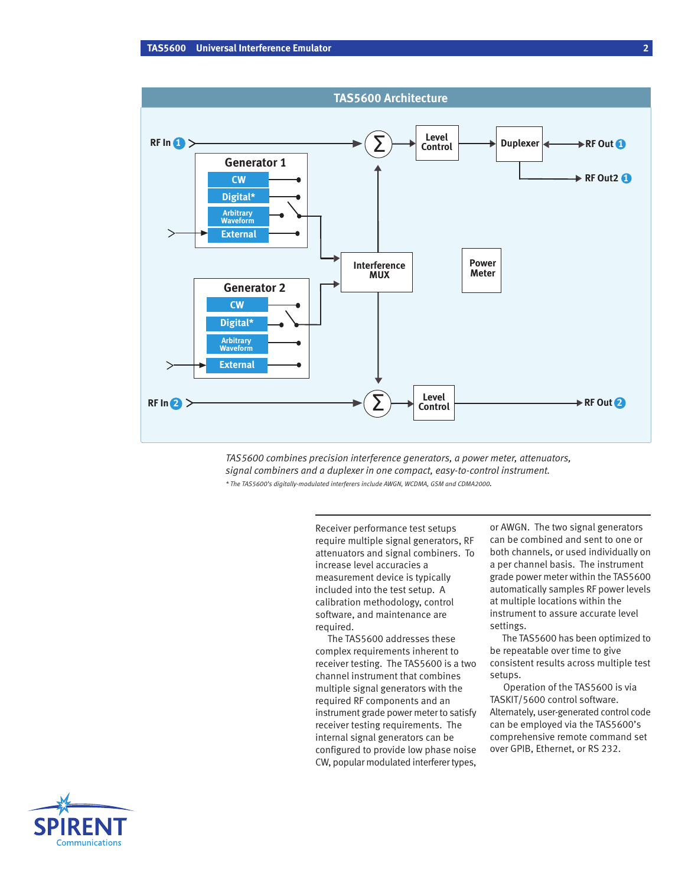

*TAS5600 combines precision interference generators, a power meter, attenuators, signal combiners and a duplexer in one compact, easy-to-control instrument. \* The TAS5600's digitally-modulated interferers include AWGN, WCDMA, GSM and CDMA2000.*

> Receiver performance test setups require multiple signal generators, RF attenuators and signal combiners. To increase level accuracies a measurement device is typically included into the test setup. A calibration methodology, control software, and maintenance are required.

The TAS5600 addresses these complex requirements inherent to receiver testing. The TAS5600 is a two channel instrument that combines multiple signal generators with the required RF components and an instrument grade power meter to satisfy receiver testing requirements. The internal signal generators can be configured to provide low phase noise CW, popular modulated interferer types,

or AWGN. The two signal generators can be combined and sent to one or both channels, or used individually on a per channel basis. The instrument grade power meter within the TAS5600 automatically samples RF power levels at multiple locations within the instrument to assure accurate level settings.

The TAS5600 has been optimized to be repeatable over time to give consistent results across multiple test setups.

Operation of the TAS5600 is via TASKIT/5600 control software. Alternately, user-generated control code can be employed via the TAS5600's comprehensive remote command set over GPIB, Ethernet, or RS 232.

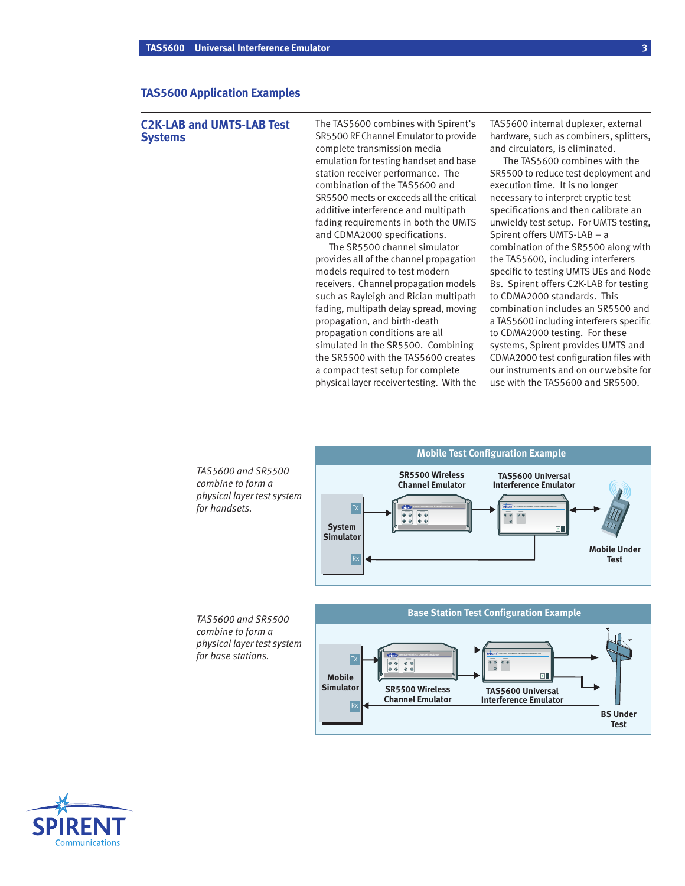# **TAS5600 Application Examples**

# **C2K-LAB and UMTS-LAB Test Systems**

The TAS5600 combines with Spirent's SR5500 RF Channel Emulator to provide complete transmission media emulation for testing handset and base station receiver performance. The combination of the TAS5600 and SR5500 meets or exceeds all the critical additive interference and multipath fading requirements in both the UMTS and CDMA2000 specifications.

The SR5500 channel simulator provides all of the channel propagation models required to test modern receivers. Channel propagation models such as Rayleigh and Rician multipath fading, multipath delay spread, moving propagation, and birth-death propagation conditions are all simulated in the SR5500. Combining the SR5500 with the TAS5600 creates a compact test setup for complete physical layer receiver testing. With the TAS5600 internal duplexer, external hardware, such as combiners, splitters, and circulators, is eliminated.

The TAS5600 combines with the SR5500 to reduce test deployment and execution time. It is no longer necessary to interpret cryptic test specifications and then calibrate an unwieldy test setup. For UMTS testing, Spirent offers UMTS-LAB – a combination of the SR5500 along with the TAS5600, including interferers specific to testing UMTS UEs and Node Bs. Spirent offers C2K-LAB for testing to CDMA2000 standards. This combination includes an SR5500 and a TAS5600 including interferers specific to CDMA2000 testing. For these systems, Spirent provides UMTS and CDMA2000 test configuration files with our instruments and on our website for use with the TAS5600 and SR5500.

> **Mobile Under Test**

 $\overline{\cdot}$ 



*TAS5600 and SR5500 combine to form a physical layer test system for base stations.*



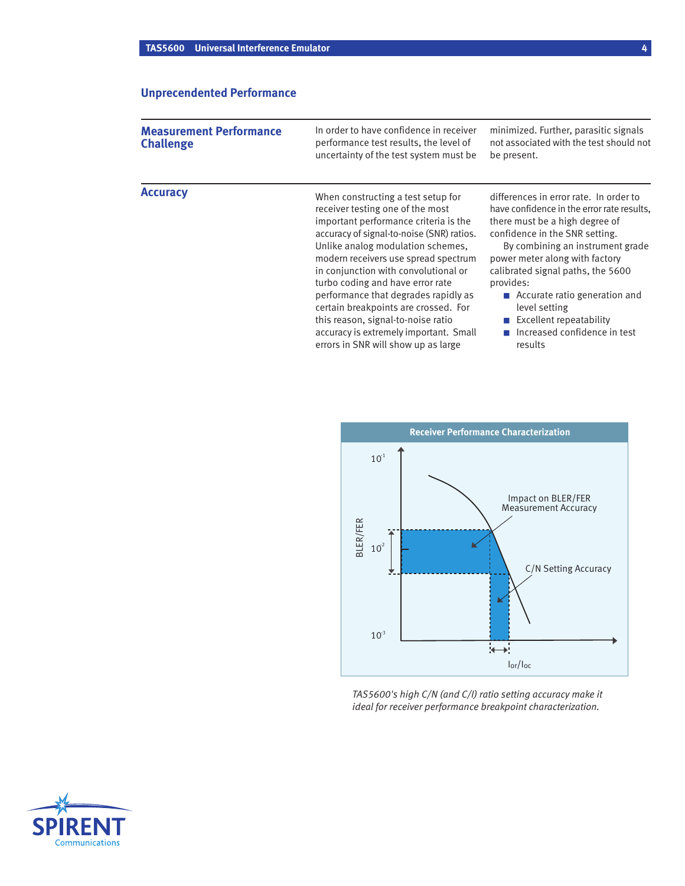# **Unprecendented Performance**

| <b>Measurement Performance</b><br><b>Challenge</b> | In order to have confidence in receiver<br>performance test results, the level of                                                                                                                                                                                                                                                                                                                                                                                                     | minimized. Further, parasitic signals<br>not associated with the test should not                                                                                                                                                                                                                                                                                                                |  |
|----------------------------------------------------|---------------------------------------------------------------------------------------------------------------------------------------------------------------------------------------------------------------------------------------------------------------------------------------------------------------------------------------------------------------------------------------------------------------------------------------------------------------------------------------|-------------------------------------------------------------------------------------------------------------------------------------------------------------------------------------------------------------------------------------------------------------------------------------------------------------------------------------------------------------------------------------------------|--|
|                                                    | uncertainty of the test system must be                                                                                                                                                                                                                                                                                                                                                                                                                                                | be present.                                                                                                                                                                                                                                                                                                                                                                                     |  |
| <b>Accuracy</b>                                    | When constructing a test setup for<br>receiver testing one of the most<br>important performance criteria is the<br>accuracy of signal-to-noise (SNR) ratios.<br>Unlike analog modulation schemes,<br>modern receivers use spread spectrum<br>in conjunction with convolutional or<br>turbo coding and have error rate<br>performance that degrades rapidly as<br>certain breakpoints are crossed. For<br>this reason, signal-to-noise ratio<br>accuracy is extremely important. Small | differences in error rate. In order to<br>have confidence in the error rate results.<br>there must be a high degree of<br>confidence in the SNR setting.<br>By combining an instrument grade<br>power meter along with factory<br>calibrated signal paths, the 5600<br>provides:<br>■ Accurate ratio generation and<br>level setting<br>Excellent repeatability<br>Increased confidence in test |  |

errors in SNR will show up as large



results

*TAS5600's high C/N (and C/I) ratio setting accuracy make it ideal for receiver performance breakpoint characterization.*

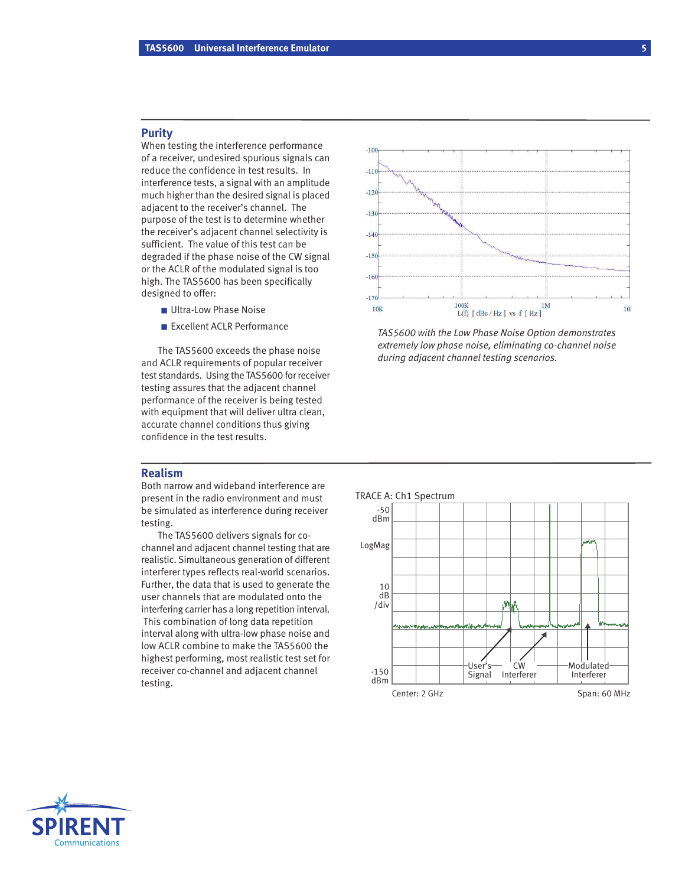## **Purity**

When testing the interference performance of a receiver, undesired spurious signals can reduce the confidence in test results. In interference tests, a signal with an amplitude much higher than the desired signal is placed adjacent to the receiver's channel. The purpose of the test is to determine whether the receiver's adjacent channel selectivity is sufficient. The value of this test can be degraded if the phase noise of the CW signal or the ACLR of the modulated signal is too high. The TAS5600 has been specifically designed to offer:

- Ultra-Low Phase Noise
- Excellent ACLR Performance

The TAS5600 exceeds the phase noise and ACLR requirements of popular receiver test standards. Using the TAS5600 for receiver testing assures that the adjacent channel performance of the receiver is being tested with equipment that will deliver ultra clean, accurate channel conditions thus giving confidence in the test results.



*TAS5600 with the Low Phase Noise Option demonstrates extremely low phase noise, eliminating co-channel noise during adjacent channel testing scenarios.*

# **Realism**

Both narrow and wideband interference are present in the radio environment and must be simulated as interference during receiver testing.

The TAS5600 delivers signals for cochannel and adjacent channel testing that are realistic. Simultaneous generation of different interferer types reflects real-world scenarios. Further, the data that is used to generate the user channels that are modulated onto the interfering carrier has a long repetition interval. This combination of long data repetition interval along with ultra-low phase noise and low ACLR combine to make the TAS5600 the highest performing, most realistic test set for receiver co-channel and adjacent channel testing.



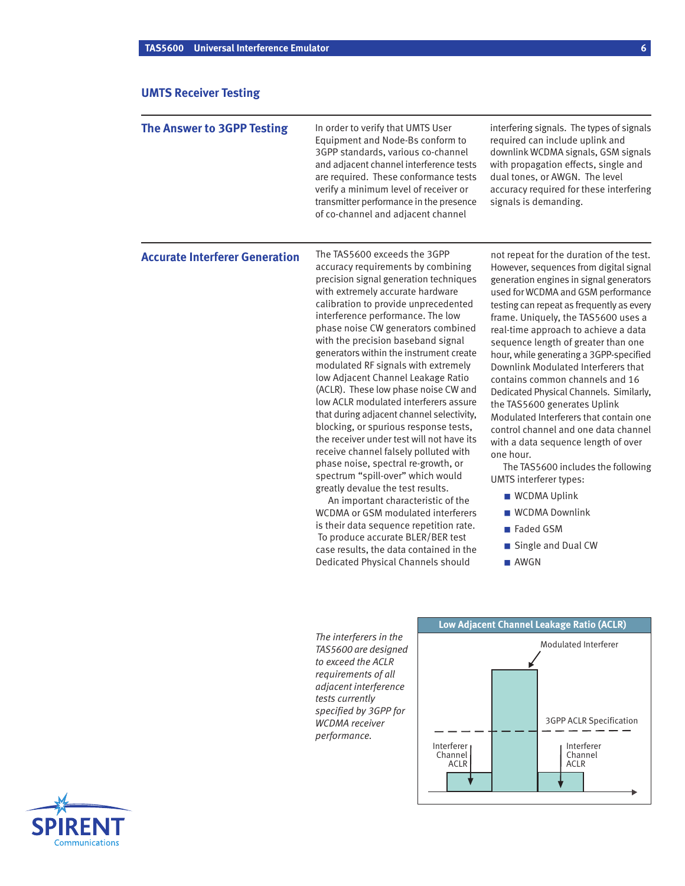# **UMTS Receiver Testing**

| <b>The Answer to 3GPP Testing</b>     | In order to verify that UMTS User<br>Equipment and Node-Bs conform to<br>3GPP standards, various co-channel<br>and adjacent channel interference tests<br>are required. These conformance tests<br>verify a minimum level of receiver or<br>transmitter performance in the presence<br>of co-channel and adjacent channel                                                                                                                                                                                                                                                                                                                                                                                                                                                                                                                                                                                                                                                                                                                                    | interfering signals. The types of signals<br>required can include uplink and<br>downlink WCDMA signals, GSM signals<br>with propagation effects, single and<br>dual tones, or AWGN. The level<br>accuracy required for these interfering<br>signals is demanding.                                                                                                                                                                                                                                                                                                                                                                                                                                                                                                                                                                 |
|---------------------------------------|--------------------------------------------------------------------------------------------------------------------------------------------------------------------------------------------------------------------------------------------------------------------------------------------------------------------------------------------------------------------------------------------------------------------------------------------------------------------------------------------------------------------------------------------------------------------------------------------------------------------------------------------------------------------------------------------------------------------------------------------------------------------------------------------------------------------------------------------------------------------------------------------------------------------------------------------------------------------------------------------------------------------------------------------------------------|-----------------------------------------------------------------------------------------------------------------------------------------------------------------------------------------------------------------------------------------------------------------------------------------------------------------------------------------------------------------------------------------------------------------------------------------------------------------------------------------------------------------------------------------------------------------------------------------------------------------------------------------------------------------------------------------------------------------------------------------------------------------------------------------------------------------------------------|
| <b>Accurate Interferer Generation</b> | The TAS5600 exceeds the 3GPP<br>accuracy requirements by combining<br>precision signal generation techniques<br>with extremely accurate hardware<br>calibration to provide unprecedented<br>interference performance. The low<br>phase noise CW generators combined<br>with the precision baseband signal<br>generators within the instrument create<br>modulated RF signals with extremely<br>low Adjacent Channel Leakage Ratio<br>(ACLR). These low phase noise CW and<br>low ACLR modulated interferers assure<br>that during adjacent channel selectivity,<br>blocking, or spurious response tests,<br>the receiver under test will not have its<br>receive channel falsely polluted with<br>phase noise, spectral re-growth, or<br>spectrum "spill-over" which would<br>greatly devalue the test results.<br>An important characteristic of the<br>WCDMA or GSM modulated interferers<br>is their data sequence repetition rate.<br>To produce accurate BLER/BER test<br>case results, the data contained in the<br>Dedicated Physical Channels should | not repeat for the duration of the test.<br>However, sequences from digital signal<br>generation engines in signal generators<br>used for WCDMA and GSM performance<br>testing can repeat as frequently as every<br>frame. Uniquely, the TAS5600 uses a<br>real-time approach to achieve a data<br>sequence length of greater than one<br>hour, while generating a 3GPP-specified<br>Downlink Modulated Interferers that<br>contains common channels and 16<br>Dedicated Physical Channels. Similarly,<br>the TAS5600 generates Uplink<br>Modulated Interferers that contain one<br>control channel and one data channel<br>with a data sequence length of over<br>one hour.<br>The TAS5600 includes the following<br>UMTS interferer types:<br>■ WCDMA Uplink<br>■ WCDMA Downlink<br>■ Faded GSM<br>Single and Dual CW<br>■ AWGN |
|                                       | The interferers in the                                                                                                                                                                                                                                                                                                                                                                                                                                                                                                                                                                                                                                                                                                                                                                                                                                                                                                                                                                                                                                       | Low Adjacent Channel Leakage Ratio (ACLR)<br>Modulated Interferer                                                                                                                                                                                                                                                                                                                                                                                                                                                                                                                                                                                                                                                                                                                                                                 |

*TAS5600 are designed to exceed the ACLR requirements of all adjacent interference tests currently specified by 3GPP for WCDMA receiver performance.*



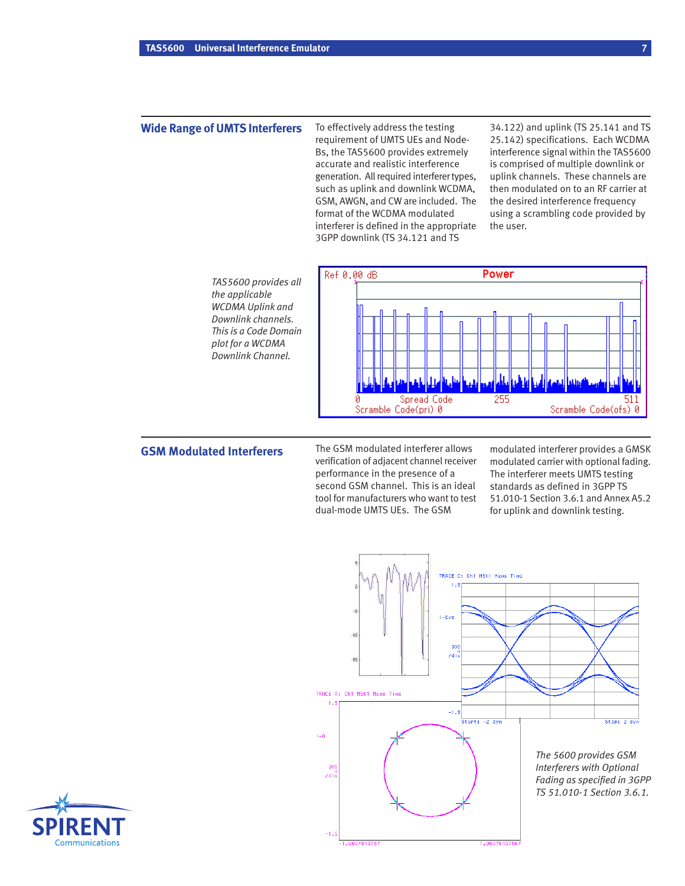# **Wide Range of UMTS Interferers**

To effectively address the testing requirement of UMTS UEs and Node-Bs, the TAS5600 provides extremely accurate and realistic interference generation. All required interferer types, such as uplink and downlink WCDMA, GSM, AWGN, and CW are included. The format of the WCDMA modulated interferer is defined in the appropriate 3GPP downlink (TS 34.121 and TS

34.122) and uplink (TS 25.141 and TS 25.142) specifications. Each WCDMA interference signal within the TAS5600 is comprised of multiple downlink or uplink channels. These channels are then modulated on to an RF carrier at the desired interference frequency using a scrambling code provided by the user.

*TAS5600 provides all the applicable WCDMA Uplink and Downlink channels. This is a Code Domain plot for a WCDMA Downlink Channel.*



# **GSM Modulated Interferers**

The GSM modulated interferer allows verification of adjacent channel receiver performance in the presence of a second GSM channel. This is an ideal tool for manufacturers who want to test dual-mode UMTS UEs. The GSM

modulated interferer provides a GMSK modulated carrier with optional fading. The interferer meets UMTS testing standards as defined in 3GPP TS 51.010-1 Section 3.6.1 and Annex A5.2 for uplink and downlink testing.



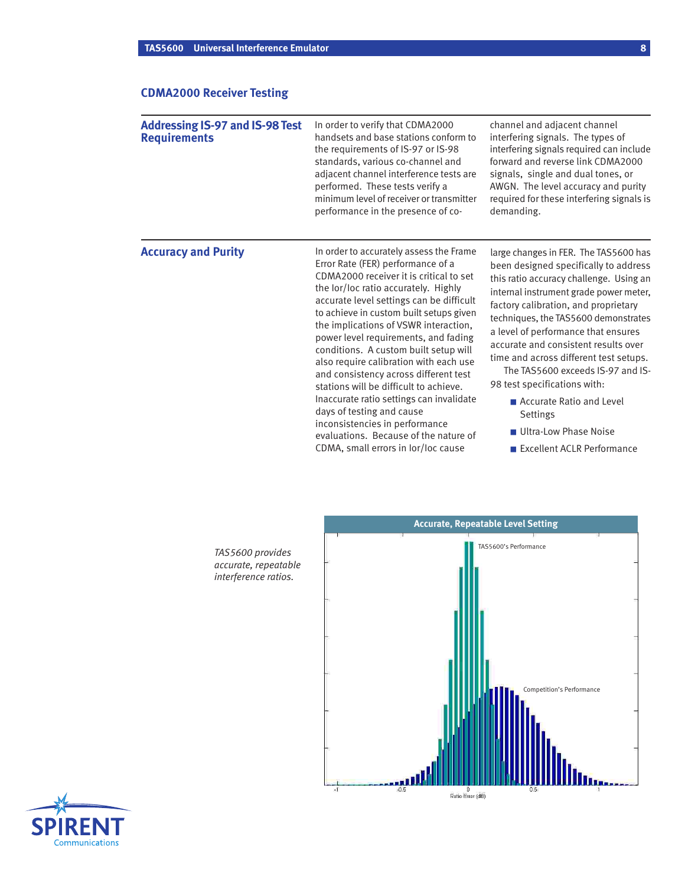# **CDMA2000 Receiver Testing**

| <b>Addressing IS-97 and IS-98 Test</b><br><b>Requirements</b> | In order to verify that CDMA2000<br>handsets and base stations conform to<br>the requirements of IS-97 or IS-98<br>standards, various co-channel and<br>adjacent channel interference tests are<br>performed. These tests verify a<br>minimum level of receiver or transmitter<br>performance in the presence of co-                                                                                                                                                                                                                                                                                                                                                                                     | channel and adjacent channel<br>interfering signals. The types of<br>interfering signals required can include<br>forward and reverse link CDMA2000<br>signals, single and dual tones, or<br>AWGN. The level accuracy and purity<br>required for these interfering signals is<br>demanding.                                                                                                                                                                                                                                                         |
|---------------------------------------------------------------|----------------------------------------------------------------------------------------------------------------------------------------------------------------------------------------------------------------------------------------------------------------------------------------------------------------------------------------------------------------------------------------------------------------------------------------------------------------------------------------------------------------------------------------------------------------------------------------------------------------------------------------------------------------------------------------------------------|----------------------------------------------------------------------------------------------------------------------------------------------------------------------------------------------------------------------------------------------------------------------------------------------------------------------------------------------------------------------------------------------------------------------------------------------------------------------------------------------------------------------------------------------------|
| <b>Accuracy and Purity</b>                                    | In order to accurately assess the Frame<br>Error Rate (FER) performance of a<br>CDMA2000 receiver it is critical to set<br>the lor/loc ratio accurately. Highly<br>accurate level settings can be difficult<br>to achieve in custom built setups given<br>the implications of VSWR interaction,<br>power level requirements, and fading<br>conditions. A custom built setup will<br>also require calibration with each use<br>and consistency across different test<br>stations will be difficult to achieve.<br>Inaccurate ratio settings can invalidate<br>days of testing and cause<br>inconsistencies in performance<br>evaluations. Because of the nature of<br>CDMA, small errors in lor/loc cause | large changes in FER. The TAS5600 has<br>been designed specifically to address<br>this ratio accuracy challenge. Using an<br>internal instrument grade power meter,<br>factory calibration, and proprietary<br>techniques, the TAS5600 demonstrates<br>a level of performance that ensures<br>accurate and consistent results over<br>time and across different test setups.<br>The TAS5600 exceeds IS-97 and IS-<br>98 test specifications with:<br>■ Accurate Ratio and Level<br>Settings<br>Ultra-Low Phase Noise<br>Excellent ACLR Performance |



*TAS5600 provides accurate, repeatable interference ratios.*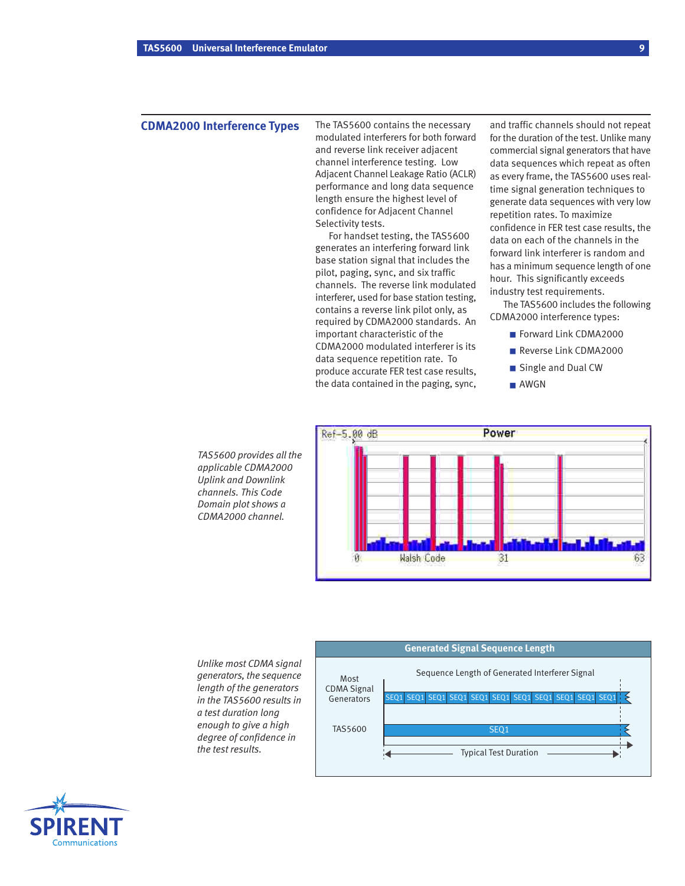## **CDMA2000 Interference Types**

The TAS5600 contains the necessary modulated interferers for both forward and reverse link receiver adjacent channel interference testing. Low Adjacent Channel Leakage Ratio (ACLR) performance and long data sequence length ensure the highest level of confidence for Adjacent Channel Selectivity tests.

For handset testing, the TAS5600 generates an interfering forward link base station signal that includes the pilot, paging, sync, and six traffic channels. The reverse link modulated interferer, used for base station testing, contains a reverse link pilot only, as required by CDMA2000 standards. An important characteristic of the CDMA2000 modulated interferer is its data sequence repetition rate. To produce accurate FER test case results, the data contained in the paging, sync,

and traffic channels should not repeat for the duration of the test. Unlike many commercial signal generators that have data sequences which repeat as often as every frame, the TAS5600 uses realtime signal generation techniques to generate data sequences with very low repetition rates. To maximize confidence in FER test case results, the data on each of the channels in the forward link interferer is random and has a minimum sequence length of one hour. This significantly exceeds industry test requirements.

The TAS5600 includes the following CDMA2000 interference types:

- Forward Link CDMA2000
- Reverse Link CDMA2000
- Single and Dual CW
- AWGN

*TAS5600 provides all the applicable CDMA2000 Uplink and Downlink channels. This Code Domain plot shows a CDMA2000 channel.*



*Unlike most CDMA signal generators, the sequence length of the generators in the TAS5600 results in a test duration long enough to give a high degree of confidence in the test results.*



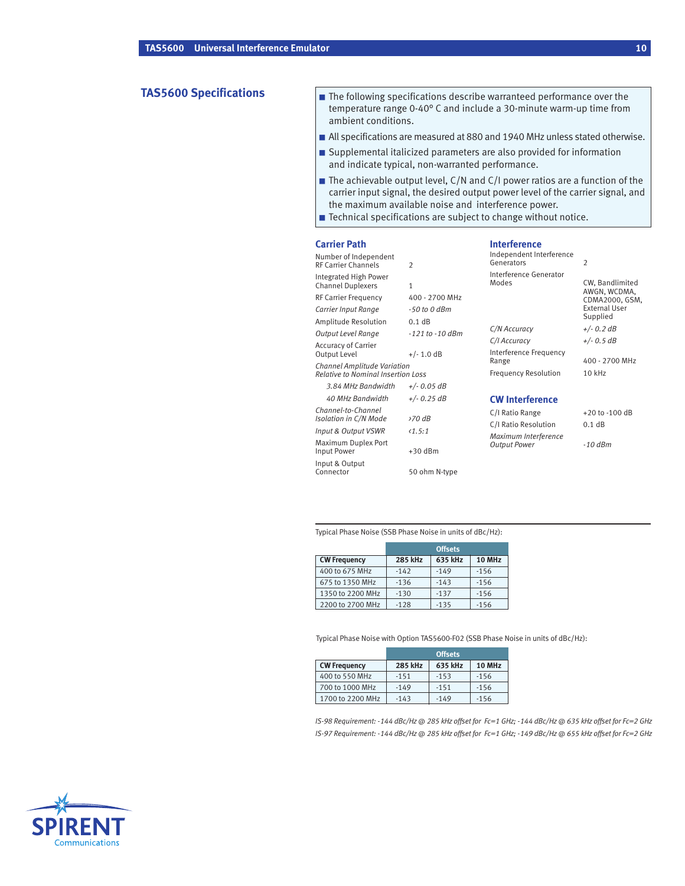- **TAS5600 Specifications** The following specifications describe warranteed performance over the temperature range 0-40° C and include a 30-minute warm-up time from ambient conditions.
	- All specifications are measured at 880 and 1940 MHz unless stated otherwise.
	- Supplemental italicized parameters are also provided for information and indicate typical, non-warranted performance.
	- The achievable output level, C/N and C/I power ratios are a function of the carrier input signal, the desired output power level of the carrier signal, and the maximum available noise and interference power.

■ Technical specifications are subject to change without notice.

| <b>Carrier Path</b>                                                              |                        | <b>Interference</b>                               |                                                    |
|----------------------------------------------------------------------------------|------------------------|---------------------------------------------------|----------------------------------------------------|
| Number of Independent<br><b>RF Carrier Channels</b>                              | $\overline{2}$         | Independent Interference<br>Generators            | $\overline{2}$                                     |
| Integrated High Power<br><b>Channel Duplexers</b><br><b>RF Carrier Frequency</b> | 1<br>400 - 2700 MHz    | Interference Generator<br>Modes                   | CW, Bandlimited<br>AWGN, WCDMA,                    |
| Carrier Input Range<br>Amplitude Resolution                                      | -50 to 0 dBm<br>0.1 dB |                                                   | CDMA2000, GSM,<br><b>External User</b><br>Supplied |
| Output Level Range                                                               | $-121$ to $-10$ dBm    | C/N Accuracy                                      | $+/- 0.2 dB$                                       |
| <b>Accuracy of Carrier</b><br>Output Level                                       | $+/- 1.0$ dB           | C/I Accuracy<br>Interference Frequency            | $+/- 0.5 dB$<br>400 - 2700 MHz                     |
| <b>Channel Amplitude Variation</b><br><b>Relative to Nominal Insertion Loss</b>  |                        | Range<br><b>Frequency Resolution</b>              | 10 kHz                                             |
| 3.84 MHz Bandwidth                                                               | $+/- 0.05 dB$          |                                                   |                                                    |
| 40 MHz Bandwidth                                                                 | $+/- 0.25 dB$          | <b>CW Interference</b>                            |                                                    |
| Channel-to-Channel<br>Isolation in C/N Mode                                      | 270 dB                 | C/I Ratio Range<br>C/I Ratio Resolution<br>0.1 dB | $+20$ to $-100$ dB                                 |
| Input & Output VSWR                                                              | $\langle 1.5:1$        |                                                   |                                                    |
| Maximum Duplex Port<br>Input Power                                               | $+30$ dBm              | Maximum Interference<br><b>Output Power</b>       | $-10$ dBm                                          |
| Input & Output<br>Connector                                                      | 50 ohm N-type          |                                                   |                                                    |

Typical Phase Noise (SSB Phase Noise in units of dBc/Hz):

|                     | <b>Offsets</b> |         |        |
|---------------------|----------------|---------|--------|
| <b>CW Frequency</b> | <b>285 kHz</b> | 635 kHz | 10 MHz |
| 400 to 675 MHz      | $-142$         | $-149$  | $-156$ |
| 675 to 1350 MHz     | $-136$         | $-143$  | $-156$ |
| 1350 to 2200 MHz    | $-130$         | $-137$  | $-156$ |
| 2200 to 2700 MHz    | $-128$         | $-135$  | $-156$ |

Typical Phase Noise with Option TAS5600-F02 (SSB Phase Noise in units of dBc/Hz):

|                     | <b>Offsets</b> |         |               |
|---------------------|----------------|---------|---------------|
| <b>CW Frequency</b> | 285 kHz        | 635 kHz | <b>10 MHz</b> |
| 400 to 550 MHz      | $-151$         | $-153$  | $-156$        |
| 700 to 1000 MHz     | $-149$         | $-151$  | $-156$        |
| 1700 to 2200 MHz    | $-143$         | $-149$  | $-156$        |

*IS-98 Requirement: -144 dBc/Hz @ 285 kHz offset for Fc=1 GHz; -144 dBc/Hz @ 635 kHz offset for Fc=2 GHz IS-97 Requirement: -144 dBc/Hz @ 285 kHz offset for Fc=1 GHz; -149 dBc/Hz @ 655 kHz offset for Fc=2 GHz*

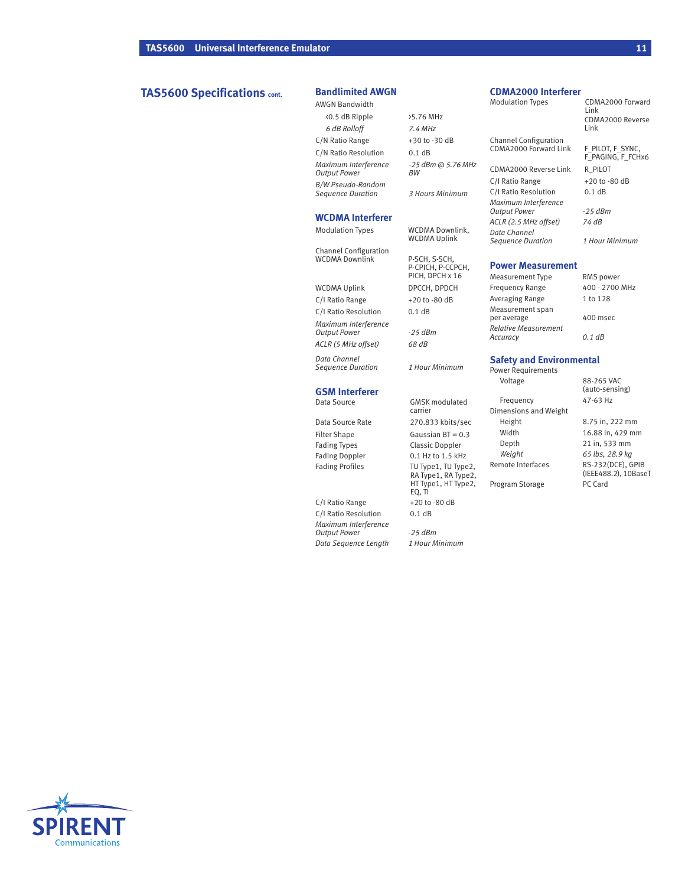# **TAS5600 Specifications cont. Bandlimited AWGN**

AWGN Bandwidth <0.5 dB Ripple >5.76 MHz *6 dB Rolloff 7.4 MHz* C/N Ratio Range  $+30$  to -30 dB C/N Ratio Resolution 0.1 dB *Maximum Interference -25 dBm @ 5.76 MHz*  $Output$  *Power B/W Pseudo-Random Sequence Duration 3 Hours Minimum*

#### **WCDMA Interferer**

Channel Configuration

WCDMA Downlink P-SCH, S-SCH,

WCDMA Uplink DPCCH, DPDCH C/I Ratio Range  $+20$  to -80 dB C/I Ratio Resolution 0.1 dB *Maximum Interference Output Power -25 dBm ACLR (5 MHz offset) 68 dB*

*Data Channel Sequence Duration 1 Hour Minimum*

# **GSM Interferer**

Fading Types Classic Doppler Fading Doppler 0.1 Hz to 1.5 kHz<br>Fading Profiles TU Type1, TU Type

C/I Ratio Range  $+20$  to -80 dB C/I Ratio Resolution 0.1 dB *Maximum Interference Output Power -25 dBm*  $Data Sequence Length$ 

Modulation Types WCDMA Downlink, WCDMA Uplink P-CPICH, P-CCPCH, PICH, DPCH x 16

**GMSK** modulated carrier Data Source Rate 270.833 kbits/sec Filter Shape Gaussian BT = 0.3 TU Type1, TU Type2, RA Type1, RA Type2, HT Type1, HT Type2, EQ, TI

### **CDMA2000 Interferer**

Modulation Types CDMA2000 Forward Link CDMA2000 Reverse Link Channel Configuration CDMA2000 Forward Link F\_PILOT, F\_SYNC,<br>F\_PAGING, F\_FCHx6 CDMA2000 Reverse Link R\_PILOT

C/I Ratio Range  $+20$  to -80 dB<br>C/I Ratio Resolution 0.1 dB *Output Power -25 dBm Sequence Duration 1 Hour Minimum*

#### **Power Measurement**

C/I Ratio Resolution *Maximum Interference*

*ACLR (2.5 MHz offset) 74 dB Data Channel*

| <b>Measurement Type</b>                 | RMS power      |
|-----------------------------------------|----------------|
| <b>Frequency Range</b>                  | 400 - 2700 MHz |
| Averaging Range                         | 1 to 128       |
| Measurement span<br>per average         | 400 msec       |
| <b>Relative Measurement</b><br>Accuracy | 0.1 dB         |

# **Safety and Environmental** Power Requirements<br>Voltage

Frequency

88-265 VAC (auto-sensing) Dimensions and Weight Height 8.75 in, 222 mm Width 16.88 in, 429 mm<br>Depth 21 in, 533 mm 21 in, 533 mm *Weight 65 lbs, 28.9 kg* Remote Interfaces RS-232(DCE), GPIB (IEEE488.2), 10BaseT Program Storage PC Card